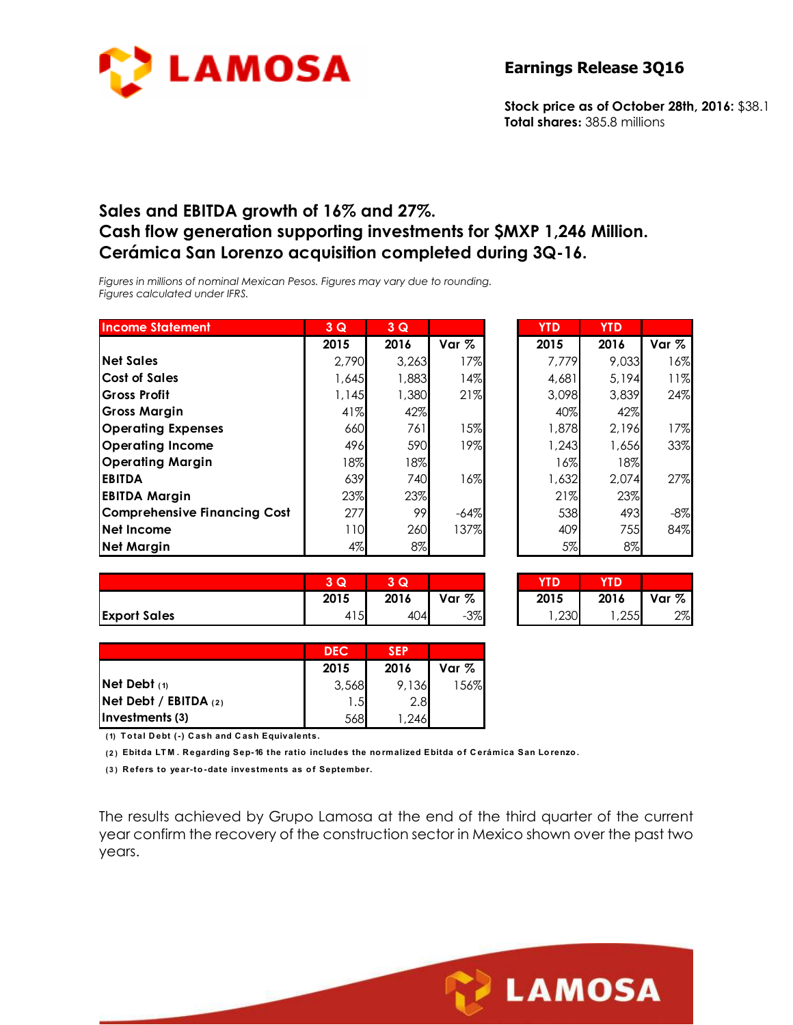

**Stock price as of October 28th, 2016:** \$38.1 **Total shares:** 385.8 millions

### **Sales and EBITDA growth of 16% and 27%. Cash flow generation supporting investments for \$MXP 1,246 Million. Cerámica San Lorenzo acquisition completed during 3Q-16.**

*Figures in millions of nominal Mexican Pesos. Figures may vary due to rounding. Figures calculated under IFRS.* 

| <b>Income Statement</b>             | 3Q    | 3Q    |        | <b>YTD</b> | <b>YTD</b> |       |
|-------------------------------------|-------|-------|--------|------------|------------|-------|
|                                     | 2015  | 2016  | Var %  | 2015       | 2016       | Var % |
| <b>Net Sales</b>                    | 2,790 | 3,263 | 17%    | 7,779      | 9,033      | 16%   |
| <b>Cost of Sales</b>                | 1,645 | 1,883 | 14%    | 4,681      | 5,194      | 11%   |
| <b>Gross Profit</b>                 | 1,145 | 1,380 | 21%    | 3,098      | 3,839      | 24%   |
| Gross Margin                        | 41%   | 42%   |        | 40%        | 42%        |       |
| <b>Operating Expenses</b>           | 660   | 761   | 15%    | 1,878      | 2,196      | 17%   |
| <b>Operating Income</b>             | 496   | 590   | 19%    | 1,243      | 1,656      | 33%   |
| Operating Margin                    | 18%   | 18%   |        | 16%        | 18%        |       |
| <b>EBITDA</b>                       | 639   | 740   | 16%    | 1,632      | 2,074      | 27%   |
| <b>EBITDA Margin</b>                | 23%   | 23%   |        | 21%        | 23%        |       |
| <b>Comprehensive Financing Cost</b> | 277   | 99    | $-64%$ | 538        | 493        | $-8%$ |
| Net Income                          | 10    | 260   | 137%   | 409        | 755        | 84%   |
| <b>Net Margin</b>                   | 4%    | 8%    |        | 5%         | 8%         |       |

| 3Q    | 3Q    |        | <b>YTD</b> | <b>YTD</b> |       |
|-------|-------|--------|------------|------------|-------|
| 2015  | 2016  | Var %  | 2015       | 2016       | Var % |
| 2,790 | 3,263 | 17%    | 7,779      | 9,033      | 16%   |
| 1,645 | 1,883 | 14%    | 4,681      | 5,194      | 11%   |
| 1,145 | 1,380 | 21%    | 3,098      | 3,839      | 24%   |
| 41%   | 42%   |        | 40%        | 42%        |       |
| 660   | 761   | 15%    | 1,878      | 2,196      | 17%   |
| 496   | 590   | 19%    | 1,243      | 1,656      | 33%   |
| 18%   | 18%   |        | 16%        | 18%        |       |
| 639   | 740   | 16%    | 1,632      | 2,074      | 27%   |
| 23%   | 23%   |        | 21%        | 23%        |       |
| 277   | 99    | $-64%$ | 538        | 493        | -8%   |
| 110   | 260   | 137%   | 409        | 755        | 84%   |
| 4%    | 8%    |        | 5%         | 8%         |       |

|                     | $\overline{\phantom{a}}$<br>$\sim$<br>w | Q    |       | YTD  | YTD  |       |
|---------------------|-----------------------------------------|------|-------|------|------|-------|
|                     | 2015                                    | 2016 | Var % | 2015 | 2016 | Var % |
| <b>Export Sales</b> | 415                                     | 404  | $-3%$ | ,230 | ,255 | 2%    |

| 3Q   | l Qi |        | ΤD    |      |       |
|------|------|--------|-------|------|-------|
| 2015 | 2016 | Var %  | 2015  | 2016 | Var % |
| 415  | 404  | $-3\%$ | 1,230 | ,255 | 2%    |

|                           | <b>DEC</b> | <b>SEP</b> |         |
|---------------------------|------------|------------|---------|
|                           | 2015       | 2016       | Var $%$ |
| Net Debt $(1)$            | 3,568      | 9,136      | 156%    |
| $Net$ Debt / EBITDA $(2)$ | 1.51       | 2.8        |         |
| (3) Investments           | 568        | 246, ا     |         |

**( 1) T o tal D ebt (-) C ash and C ash Equivalents.**

**( 2 ) Ebitda LT M . R egarding Sep-16 the ratio includes the no rmalized Ebitda o f C erámica San Lo renzo .**

**( 3 ) R efers to year-to -date investments as o f September.**

The results achieved by Grupo Lamosa at the end of the third quarter of the current year confirm the recovery of the construction sector in Mexico shown over the past two years.

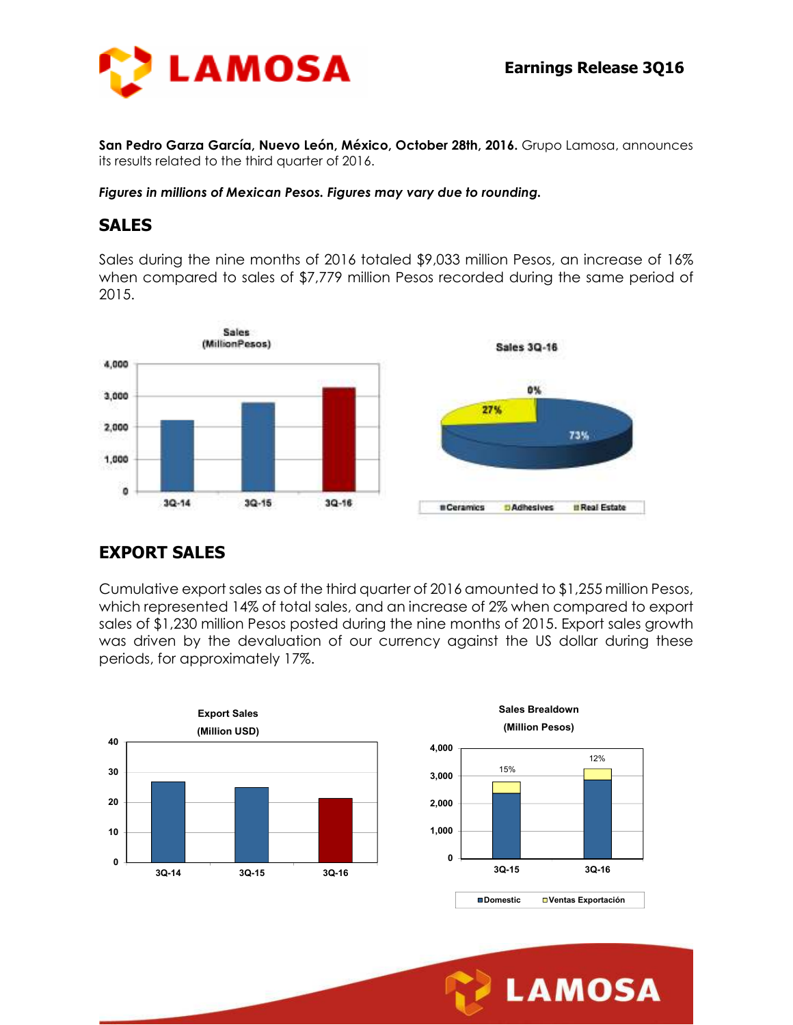

**San Pedro Garza García, Nuevo León, México, October 28th, 2016.** Grupo Lamosa, announces its results related to the third quarter of 2016.

#### *Figures in millions of Mexican Pesos. Figures may vary due to rounding.*

#### **SALES**

Sales during the nine months of 2016 totaled \$9,033 million Pesos, an increase of 16% when compared to sales of \$7,779 million Pesos recorded during the same period of 2015.



#### **EXPORT SALES**

Cumulative export sales as of the third quarter of 2016 amounted to \$1,255 million Pesos, which represented 14% of total sales, and an increase of 2% when compared to export sales of \$1,230 million Pesos posted during the nine months of 2015. Export sales growth was driven by the devaluation of our currency against the US dollar during these periods, for approximately 17%.



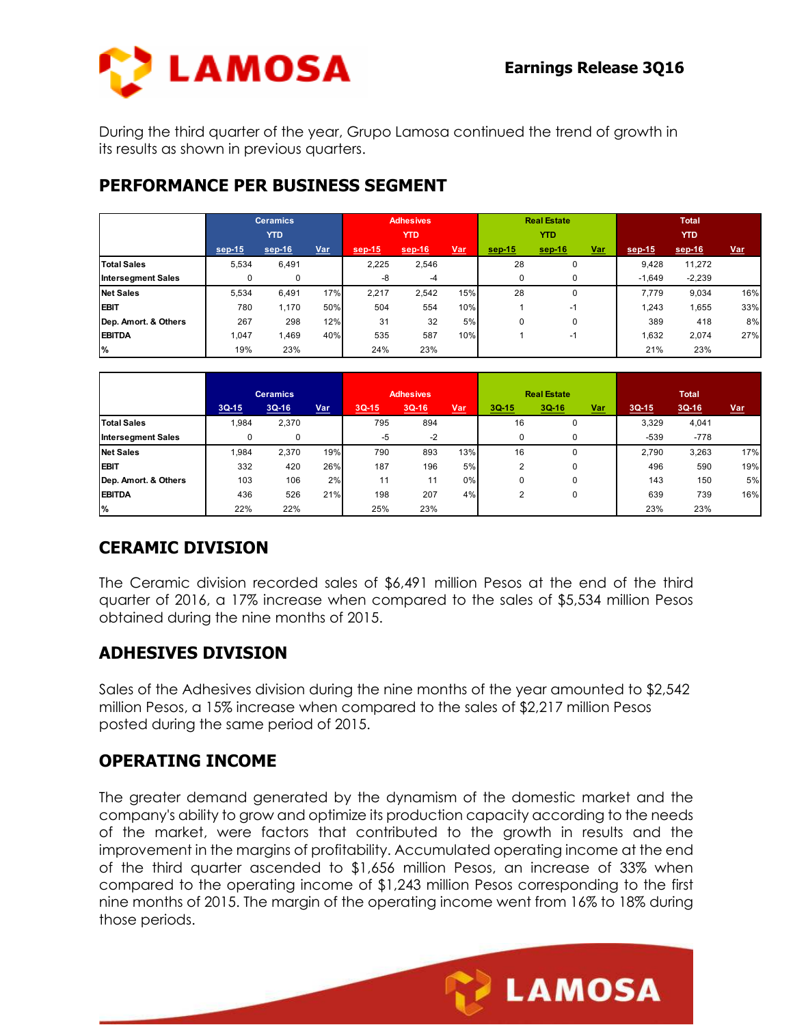**LAMOSA** 



During the third quarter of the year, Grupo Lamosa continued the trend of growth in its results as shown in previous quarters.

# **PERFORMANCE PER BUSINESS SEGMENT**

|                           | <b>Ceramics</b> |        |     | Adhesives  |          |            | <b>Real Estate</b> |          |            | <b>Total</b> |          |            |
|---------------------------|-----------------|--------|-----|------------|----------|------------|--------------------|----------|------------|--------------|----------|------------|
|                           | <b>YTD</b>      |        |     | <b>YTD</b> |          |            | <b>YTD</b>         |          |            | <b>YTD</b>   |          |            |
|                           | sep-15          | sep-16 | Var | $sep-15$   | $sep-16$ | <u>Var</u> | $sep-15$           | $sep-16$ | <b>Var</b> | sep-15       | sep-16   | <b>Var</b> |
| <b>Total Sales</b>        | 5,534           | 6,491  |     | 2,225      | 2,546    |            | 28                 | 0        |            | 9,428        | 11,272   |            |
| <b>Intersegment Sales</b> | 0               | 0      |     | -8         | $-4$     |            | 0                  | $\Omega$ |            | $-1.649$     | $-2,239$ |            |
| <b>Net Sales</b>          | 5,534           | 6,491  | 17% | 2,217      | 2,542    | 15%        | 28                 | 0        |            | 7.779        | 9,034    | 16%        |
| <b>EBIT</b>               | 780             | 1,170  | 50% | 504        | 554      | 10%        |                    | -1       |            | 1,243        | 1,655    | 33%        |
| Dep. Amort. & Others      | 267             | 298    | 12% | 31         | 32       | 5%         | 0                  | 0        |            | 389          | 418      | 8%         |
| <b>EBITDA</b>             | 1.047           | ,469   | 40% | 535        | 587      | 10%        |                    | $-1$     |            | 1.632        | 2,074    | 27%        |
| %                         | 19%             | 23%    |     | 24%        | 23%      |            |                    |          |            | 21%          | 23%      |            |

|                           | <b>Ceramics</b> |         |     | <b>Adhesives</b> |         |       | <b>Real Estate</b> |         |            | <b>Total</b> |         |     |
|---------------------------|-----------------|---------|-----|------------------|---------|-------|--------------------|---------|------------|--------------|---------|-----|
|                           | $3Q-15$         | $3Q-16$ | Var | $3Q-15$          | $3Q-16$ | $Var$ | $3Q-15$            | $3Q-16$ | <u>Var</u> | $3Q-15$      | $3Q-16$ | Var |
| <b>Total Sales</b>        | 1,984           | 2,370   |     | 795              | 894     |       | 16                 | 0       |            | 3,329        | 4,041   |     |
| <b>Intersegment Sales</b> | 0               | 0       |     | -5               | $-2$    |       | $\Omega$           | 0       |            | $-539$       | $-778$  |     |
| <b>Net Sales</b>          | 1,984           | 2,370   | 19% | 790              | 893     | 13%   | 16                 | 0       |            | 2.790        | 3,263   | 17% |
| <b>EBIT</b>               | 332             | 420     | 26% | 187              | 196     | 5%    | 2                  | 0       |            | 496          | 590     | 19% |
| Dep. Amort. & Others      | 103             | 106     | 2%  | 11               | 11      | 0%    | 0                  | 0       |            | 143          | 150     | 5%  |
| <b>EBITDA</b>             | 436             | 526     | 21% | 198              | 207     | 4%    | 2                  | 0       |            | 639          | 739     | 16% |
| %                         | 22%             | 22%     |     | 25%              | 23%     |       |                    |         |            | 23%          | 23%     |     |

## **CERAMIC DIVISION**

The Ceramic division recorded sales of \$6,491 million Pesos at the end of the third quarter of 2016, a 17% increase when compared to the sales of \$5,534 million Pesos obtained during the nine months of 2015.

## **ADHESIVES DIVISION**

Sales of the Adhesives division during the nine months of the year amounted to \$2,542 million Pesos, a 15% increase when compared to the sales of \$2,217 million Pesos posted during the same period of 2015.

## **OPERATING INCOME**

The greater demand generated by the dynamism of the domestic market and the company's ability to grow and optimize its production capacity according to the needs of the market, were factors that contributed to the growth in results and the improvement in the margins of profitability. Accumulated operating income at the end of the third quarter ascended to \$1,656 million Pesos, an increase of 33% when compared to the operating income of \$1,243 million Pesos corresponding to the first nine months of 2015. The margin of the operating income went from 16% to 18% during those periods.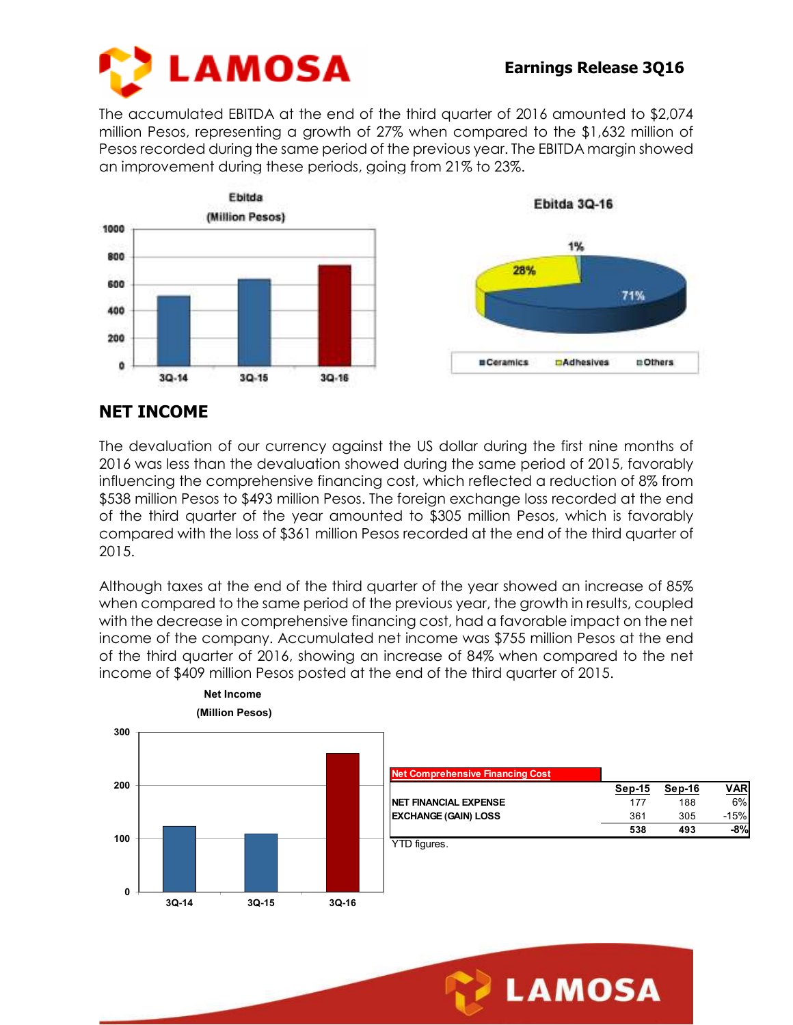

The accumulated EBITDA at the end of the third quarter of 2016 amounted to \$2,074 million Pesos, representing a growth of 27% when compared to the \$1,632 million of Pesos recorded during the same period of the previous year. The EBITDA margin showed an improvement during these periods, going from 21% to 23%.



# **NET INCOME**

The devaluation of our currency against the US dollar during the first nine months of 2016 was less than the devaluation showed during the same period of 2015, favorably influencing the comprehensive financing cost, which reflected a reduction of 8% from \$538 million Pesos to \$493 million Pesos. The foreign exchange loss recorded at the end of the third quarter of the year amounted to \$305 million Pesos, which is favorably compared with the loss of \$361 million Pesos recorded at the end of the third quarter of 2015.

Although taxes at the end of the third quarter of the year showed an increase of 85% when compared to the same period of the previous year, the growth in results, coupled with the decrease in comprehensive financing cost, had a favorable impact on the net income of the company. Accumulated net income was \$755 million Pesos at the end of the third quarter of 2016, showing an increase of 84% when compared to the net income of \$409 million Pesos posted at the end of the third quarter of 2015.



**LAMOSA**